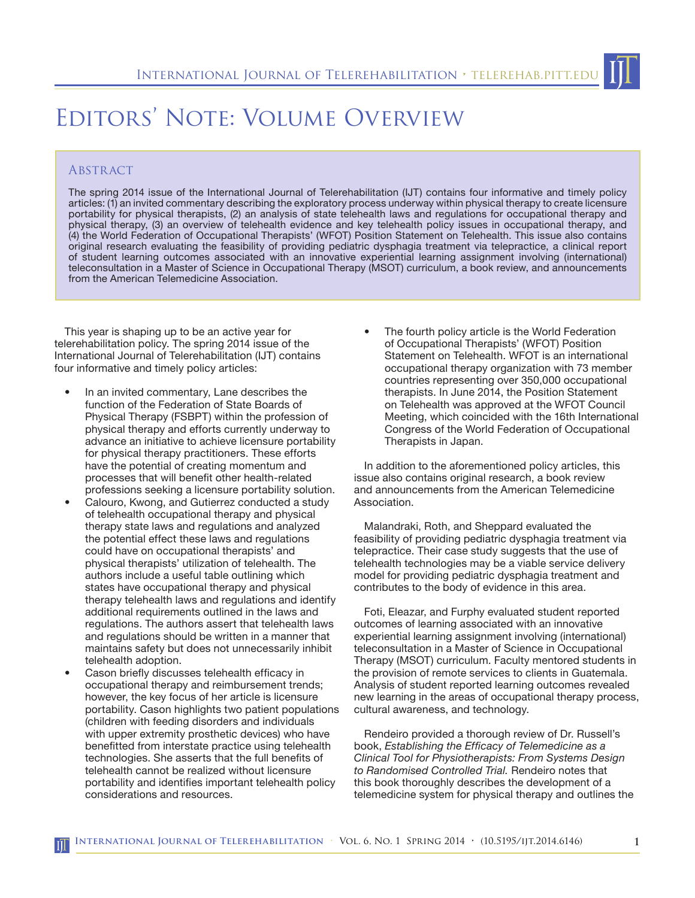## Editors' Note: Volume Overview

## **ABSTRACT**

The spring 2014 issue of the International Journal of Telerehabilitation (IJT) contains four informative and timely policy articles: (1) an invited commentary describing the exploratory process underway within physical therapy to create licensure portability for physical therapists, (2) an analysis of state telehealth laws and regulations for occupational therapy and physical therapy, (3) an overview of telehealth evidence and key telehealth policy issues in occupational therapy, and (4) the World Federation of Occupational Therapists' (WFOT) Position Statement on Telehealth. This issue also contains original research evaluating the feasibility of providing pediatric dysphagia treatment via telepractice, a clinical report of student learning outcomes associated with an innovative experiential learning assignment involving (international) teleconsultation in a Master of Science in Occupational Therapy (MSOT) curriculum, a book review, and announcements from the American Telemedicine Association.

This year is shaping up to be an active year for telerehabilitation policy. The spring 2014 issue of the International Journal of Telerehabilitation (IJT) contains four informative and timely policy articles:

- In an invited commentary, Lane describes the function of the Federation of State Boards of Physical Therapy (FSBPT) within the profession of physical therapy and efforts currently underway to advance an initiative to achieve licensure portability for physical therapy practitioners. These efforts have the potential of creating momentum and processes that will benefit other health-related professions seeking a licensure portability solution.
- Calouro, Kwong, and Gutierrez conducted a study of telehealth occupational therapy and physical therapy state laws and regulations and analyzed the potential effect these laws and regulations could have on occupational therapists' and physical therapists' utilization of telehealth. The authors include a useful table outlining which states have occupational therapy and physical therapy telehealth laws and regulations and identify additional requirements outlined in the laws and regulations. The authors assert that telehealth laws and regulations should be written in a manner that maintains safety but does not unnecessarily inhibit telehealth adoption.
- Cason briefly discusses telehealth efficacy in occupational therapy and reimbursement trends; however, the key focus of her article is licensure portability. Cason highlights two patient populations (children with feeding disorders and individuals with upper extremity prosthetic devices) who have benefitted from interstate practice using telehealth technologies. She asserts that the full benefits of telehealth cannot be realized without licensure portability and identifies important telehealth policy considerations and resources.

The fourth policy article is the World Federation of Occupational Therapists' (WFOT) Position Statement on Telehealth. WFOT is an international occupational therapy organization with 73 member countries representing over 350,000 occupational therapists. In June 2014, the Position Statement on Telehealth was approved at the WFOT Council Meeting, which coincided with the 16th International Congress of the World Federation of Occupational Therapists in Japan.

In addition to the aforementioned policy articles, this issue also contains original research, a book review and announcements from the American Telemedicine Association.

Malandraki, Roth, and Sheppard evaluated the feasibility of providing pediatric dysphagia treatment via telepractice. Their case study suggests that the use of telehealth technologies may be a viable service delivery model for providing pediatric dysphagia treatment and contributes to the body of evidence in this area.

Foti, Eleazar, and Furphy evaluated student reported outcomes of learning associated with an innovative experiential learning assignment involving (international) teleconsultation in a Master of Science in Occupational Therapy (MSOT) curriculum. Faculty mentored students in the provision of remote services to clients in Guatemala. Analysis of student reported learning outcomes revealed new learning in the areas of occupational therapy process, cultural awareness, and technology.

Rendeiro provided a thorough review of Dr. Russell's book, *Establishing the Efficacy of Telemedicine as a Clinical Tool for Physiotherapists: From Systems Design to Randomised Controlled Trial.* Rendeiro notes that this book thoroughly describes the development of a telemedicine system for physical therapy and outlines the